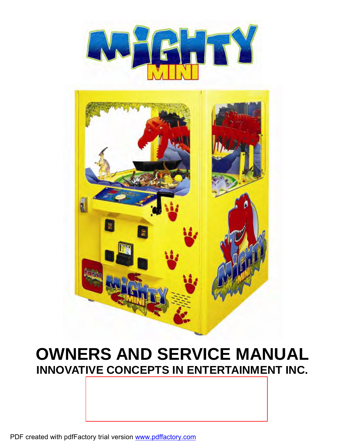



## **OWNERS AND SERVICE MANUAL INNOVATIVE CONCEPTS IN ENTERTAINMENT INC.**

**WEBSITE: [www.icegame.com](http://www.icegame.com)**

1 PDF created with pdfFactory trial version [www.pdffactory.com](http://www.pdffactory.com)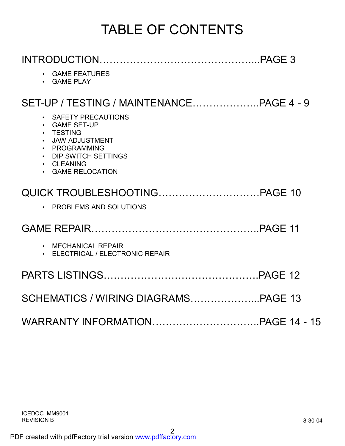## TABLE OF CONTENTS

| • GAME FEATURES<br>• GAME PLAY                                                                                                                                                                                                             |  |
|--------------------------------------------------------------------------------------------------------------------------------------------------------------------------------------------------------------------------------------------|--|
|                                                                                                                                                                                                                                            |  |
| SAFETY PRECAUTIONS<br>$\bullet$<br><b>GAME SET-UP</b><br>$\bullet$<br><b>TESTING</b><br>$\bullet$<br><b>JAW ADJUSTMENT</b><br>$\bullet$<br>PROGRAMMING<br>$\bullet$<br>DIP SWITCH SETTINGS<br>$\bullet$<br>• CLEANING<br>• GAME RELOCATION |  |
|                                                                                                                                                                                                                                            |  |
| • PROBLEMS AND SOLUTIONS                                                                                                                                                                                                                   |  |
|                                                                                                                                                                                                                                            |  |
| • MECHANICAL REPAIR<br>• ELECTRICAL / ELECTRONIC REPAIR                                                                                                                                                                                    |  |
|                                                                                                                                                                                                                                            |  |
|                                                                                                                                                                                                                                            |  |
|                                                                                                                                                                                                                                            |  |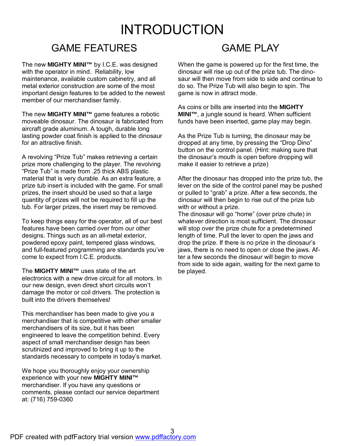## INTRODUCTION

#### GAME FEATURES

The new **MIGHTY MINI™** by I.C.E. was designed with the operator in mind. Reliability, low maintenance, available custom cabinetry, and all metal exterior construction are some of the most important design features to be added to the newest member of our merchandiser family.

The new **MIGHTY MINI™** game features a robotic moveable dinosaur. The dinosaur is fabricated from aircraft grade aluminum. A tough, durable long lasting powder coat finish is applied to the dinosaur for an attractive finish.

A revolving "Prize Tub" makes retrieving a certain prize more challenging to the player. The revolving "Prize Tub" is made from .25 thick ABS plastic material that is very durable. As an extra feature, a prize tub insert is included with the game. For small prizes, the insert should be used so that a large quantity of prizes will not be required to fill up the tub. For larger prizes, the insert may be removed.

To keep things easy for the operator, all of our best features have been carried over from our other designs. Things such as an all-metal exterior, powdered epoxy paint, tempered glass windows, and full-featured programming are standards you've come to expect from I.C.E. products.

The **MIGHTY MINI™** uses state of the art electronics with a new drive circuit for all motors. In our new design, even direct short circuits won't damage the motor or coil drivers. The protection is built into the drivers themselves!

This merchandiser has been made to give you a merchandiser that is competitive with other smaller merchandisers of its size, but it has been engineered to leave the competition behind. Every aspect of small merchandiser design has been scrutinized and improved to bring it up to the standards necessary to compete in today's market.

We hope you thoroughly enjoy your ownership experience with your new **MIGHTY MINI™** merchandiser. If you have any questions or comments, please contact our service department at: (716) 759-0360

#### **GAME PLAY**

When the game is powered up for the first time, the dinosaur will rise up out of the prize tub. The dinosaur will then move from side to side and continue to do so. The Prize Tub will also begin to spin. The game is now in attract mode.

As coins or bills are inserted into the **MIGHTY MINI™**, a jungle sound is heard. When sufficient funds have been inserted, game play may begin.

As the Prize Tub is turning, the dinosaur may be dropped at any time, by pressing the "Drop Dino" button on the control panel. (Hint: making sure that the dinosaur's mouth is open before dropping will make it easier to retrieve a prize)

After the dinosaur has dropped into the prize tub, the lever on the side of the control panel may be pushed or pulled to "grab" a prize. After a few seconds, the dinosaur will then begin to rise out of the prize tub with or without a prize.

The dinosaur will go "home" (over prize chute) in whatever direction is most sufficient. The dinosaur will stop over the prize chute for a predetermined length of time. Pull the lever to open the jaws and drop the prize. If there is no prize in the dinosaur's jaws, there is no need to open or close the jaws. After a few seconds the dinosaur will begin to move from side to side again, waiting for the next game to be played.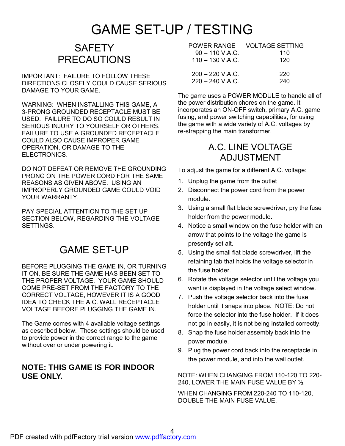## GAME SET-UP / TESTING

#### **SAFETY** PRECAUTIONS

IMPORTANT: FAILURE TO FOLLOW THESE DIRECTIONS CLOSELY COULD CAUSE SERIOUS DAMAGE TO YOUR GAME.

WARNING: WHEN INSTALLING THIS GAME, A 3-PRONG GROUNDED RECEPTACLE MUST BE USED. FAILURE TO DO SO COULD RESULT IN SERIOUS INJURY TO YOURSELF OR OTHERS. FAILURE TO USE A GROUNDED RECEPTACLE COULD ALSO CAUSE IMPROPER GAME OPERATION, OR DAMAGE TO THE ELECTRONICS.

DO NOT DEFEAT OR REMOVE THE GROUNDING PRONG ON THE POWER CORD FOR THE SAME REASONS AS GIVEN ABOVE. USING AN IMPROPERLY GROUNDED GAME COULD VOID YOUR WARRANTY.

PAY SPECIAL ATTENTION TO THE SET UP SECTION BELOW, REGARDING THE VOLTAGE SETTINGS.

#### GAME SET-UP

BEFORE PLUGGING THE GAME IN, OR TURNING IT ON, BE SURE THE GAME HAS BEEN SET TO THE PROPER VOLTAGE. YOUR GAME SHOULD COME PRE-SET FROM THE FACTORY TO THE CORRECT VOLTAGE, HOWEVER IT IS A GOOD IDEA TO CHECK THE A.C. WALL RECEPTACLE VOLTAGE BEFORE PLUGGING THE GAME IN.

The Game comes with 4 available voltage settings as described below. These settings should be used to provide power in the correct range to the game without over or under powering it.

#### **NOTE: THIS GAME IS FOR INDOOR USE ONLY.**

| <b>POWER RANGE</b> | <b>VOLTAGE SETTING</b> |
|--------------------|------------------------|
| $90 - 110$ V.A.C.  | 110                    |
| $110 - 130$ V.A.C. | 120                    |
| $200 - 220$ V.A.C. | 220                    |
| $220 - 240$ V.A.C. | 240                    |

The game uses a POWER MODULE to handle all of the power distribution chores on the game. It incorporates an ON-OFF switch, primary A.C. game fusing, and power switching capabilities, for using the game with a wide variety of A.C. voltages by re-strapping the main transformer.

#### A.C. LINE VOLTAGE ADJUSTMENT

To adjust the game for a different A.C. voltage:

- 1. Unplug the game from the outlet
- 2. Disconnect the power cord from the power module.
- 3. Using a small flat blade screwdriver, pry the fuse holder from the power module.
- 4. Notice a small window on the fuse holder with an arrow that points to the voltage the game is presently set alt.
- 5. Using the small flat blade screwdriver, lift the retaining tab that holds the voltage selector in the fuse holder.
- 6. Rotate the voltage selector until the voltage you want is displayed in the voltage select window.
- 7. Push the voltage selector back into the fuse holder until it snaps into place. NOTE: Do not force the selector into the fuse holder. If it does not go in easily, it is not being installed correctly.
- 8. Snap the fuse holder assembly back into the power module.
- 9. Plug the power cord back into the receptacle in the power module, and into the wall outlet.

NOTE: WHEN CHANGING FROM 110-120 TO 220- 240, LOWER THE MAIN FUSE VALUE BY ½.

WHEN CHANGING FROM 220-240 TO 110-120, DOUBLE THE MAIN FUSE VALUE.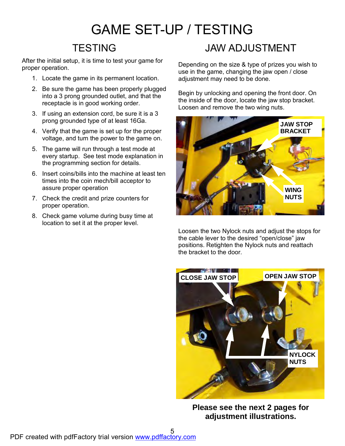## GAME SET-UP / TESTING

### **TESTING**

After the initial setup, it is time to test your game for proper operation.

- 1. Locate the game in its permanent location.
- 2. Be sure the game has been properly plugged into a 3 prong grounded outlet, and that the receptacle is in good working order.
- 3. If using an extension cord, be sure it is a 3 prong grounded type of at least 16Ga.
- 4. Verify that the game is set up for the proper voltage, and turn the power to the game on.
- 5. The game will run through a test mode at every startup. See test mode explanation in the programming section for details.
- 6. Insert coins/bills into the machine at least ten times into the coin mech/bill acceptor to assure proper operation
- 7. Check the credit and prize counters for proper operation.
- 8. Check game volume during busy time at location to set it at the proper level.

#### JAW ADJUSTMENT

Depending on the size & type of prizes you wish to use in the game, changing the jaw open / close adjustment may need to be done.

Begin by unlocking and opening the front door. On the inside of the door, locate the jaw stop bracket. Loosen and remove the two wing nuts.



Loosen the two Nylock nuts and adjust the stops for the cable lever to the desired "open/close" jaw positions. Retighten the Nylock nuts and reattach the bracket to the door.



**Please see the next 2 pages for adjustment illustrations.**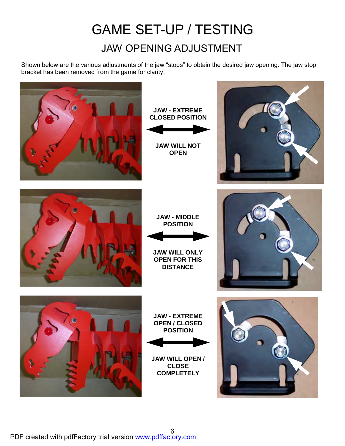## GAME SET-UP / TESTING JAW OPENING ADJUSTMENT

Shown below are the various adjustments of the jaw "stops" to obtain the desired jaw opening. The jaw stop bracket has been removed from the game for clarity.

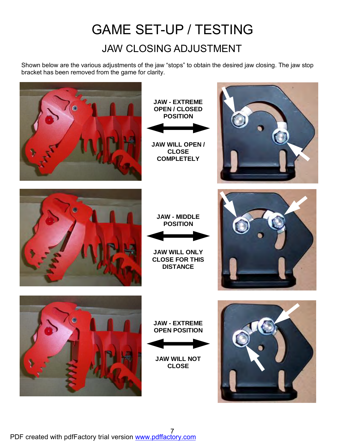## GAME SET-UP / TESTING JAW CLOSING ADJUSTMENT

Shown below are the various adjustments of the jaw "stops" to obtain the desired jaw closing. The jaw stop bracket has been removed from the game for clarity.

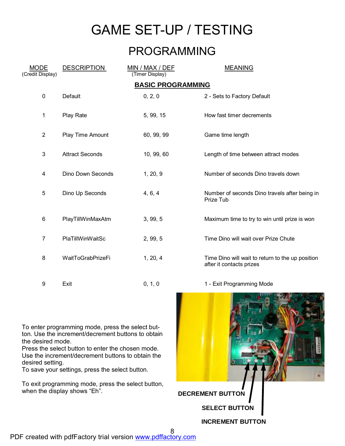## GAME SET-UP / TESTING

#### PROGRAMMING

| <b>MODE</b><br>(Credit Display) | <b>DESCRIPTION</b>     | MIN / MAX / DEF<br>(Timer Display) | <b>MEANING</b>                                                               |  |  |
|---------------------------------|------------------------|------------------------------------|------------------------------------------------------------------------------|--|--|
| <b>BASIC PROGRAMMING</b>        |                        |                                    |                                                                              |  |  |
| $\pmb{0}$                       | Default                | 0, 2, 0                            | 2 - Sets to Factory Default                                                  |  |  |
| 1                               | Play Rate              | 5, 99, 15                          | How fast timer decrements                                                    |  |  |
| $\overline{2}$                  | Play Time Amount       | 60, 99, 99                         | Game time length                                                             |  |  |
| $\sqrt{3}$                      | <b>Attract Seconds</b> | 10, 99, 60                         | Length of time between attract modes                                         |  |  |
| $\overline{\mathbf{4}}$         | Dino Down Seconds      | 1, 20, 9                           | Number of seconds Dino travels down                                          |  |  |
| 5                               | Dino Up Seconds        | 4, 6, 4                            | Number of seconds Dino travels after being in<br>Prize Tub                   |  |  |
| $\,6$                           | PlayTillWinMaxAtm      | 3, 99, 5                           | Maximum time to try to win until prize is won                                |  |  |
| $\overline{7}$                  | PlaTillWinWaitSc       | 2, 99, 5                           | Time Dino will wait over Prize Chute                                         |  |  |
| 8                               | WaitToGrabPrizeFi      | 1, 20, 4                           | Time Dino will wait to return to the up position<br>after it contacts prizes |  |  |
| 9                               | Exit                   | 0, 1, 0                            | 1 - Exit Programming Mode                                                    |  |  |

To enter programming mode, press the select button. Use the increment/decrement buttons to obtain the desired mode.

Press the select button to enter the chosen mode. Use the increment/decrement buttons to obtain the desired setting.

To save your settings, press the select button.

To exit programming mode, press the select button, when the display shows "Eh".

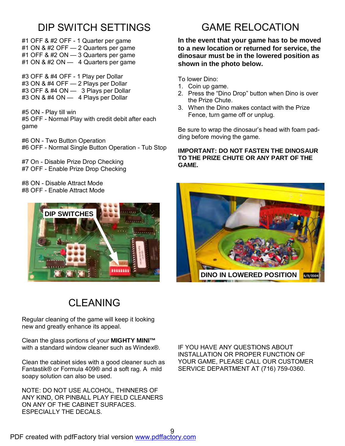#### DIP SWITCH SETTINGS

- #1 OFF & #2 OFF 1 Quarter per game #1 ON & #2 OFF — 2 Quarters per game
- #1 OFF & #2 ON 3 Quarters per game #1 ON & #2 ON  $-$  4 Quarters per game
- #3 OFF & #4 OFF 1 Play per Dollar
- #3 ON & #4 OFF 2 Plays per Dollar
- #3 OFF & #4 ON 3 Plays per Dollar
- #3 ON & #4 ON 4 Plays per Dollar
- #5 ON Play till win #5 OFF - Normal Play with credit debit after each game
- #6 ON Two Button Operation #6 OFF - Normal Single Button Operation - Tub Stop
- #7 On Disable Prize Drop Checking #7 OFF - Enable Prize Drop Checking
- #8 ON Disable Attract Mode #8 OFF - Enable Attract Mode



## **CI FANING**

Regular cleaning of the game will keep it looking new and greatly enhance its appeal.

Clean the glass portions of your **MIGHTY MINI™**  with a standard window cleaner such as Windex®.

Clean the cabinet sides with a good cleaner such as Fantastik® or Formula 409® and a soft rag. A mild soapy solution can also be used.

NOTE: DO NOT USE ALCOHOL, THINNERS OF ANY KIND, OR PINBALL PLAY FIELD CLEANERS ON ANY OF THE CABINET SURFACES. ESPECIALLY THE DECALS.

#### GAME RELOCATION

**In the event that your game has to be moved to a new location or returned for service, the dinosaur must be in the lowered position as shown in the photo below.** 

To lower Dino:

- 1. Coin up game.
- 2. Press the "Dino Drop" button when Dino is over the Prize Chute.
- 3. When the Dino makes contact with the Prize Fence, turn game off or unplug.

Be sure to wrap the dinosaur's head with foam padding before moving the game.

#### **IMPORTANT: DO NOT FASTEN THE DINOSAUR TO THE PRIZE CHUTE OR ANY PART OF THE GAME.**



IF YOU HAVE ANY QUESTIONS ABOUT INSTALLATION OR PROPER FUNCTION OF YOUR GAME, PLEASE CALL OUR CUSTOMER SERVICE DEPARTMENT AT (716) 759-0360.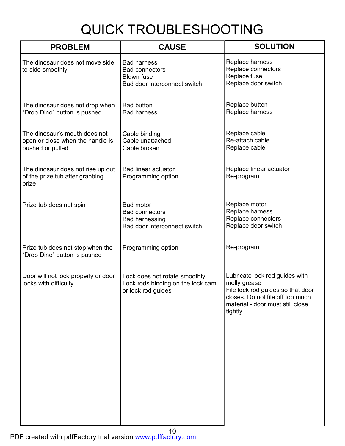# QUICK TROUBLESHOOTING

| <b>PROBLEM</b>                                                                        | <b>CAUSE</b>                                                                                       | <b>SOLUTION</b>                                                                                                                                                        |
|---------------------------------------------------------------------------------------|----------------------------------------------------------------------------------------------------|------------------------------------------------------------------------------------------------------------------------------------------------------------------------|
| The dinosaur does not move side<br>to side smoothly                                   | <b>Bad harness</b><br><b>Bad connectors</b><br><b>Blown fuse</b><br>Bad door interconnect switch   | Replace harness<br>Replace connectors<br>Replace fuse<br>Replace door switch                                                                                           |
| The dinosaur does not drop when<br>"Drop Dino" button is pushed                       | <b>Bad button</b><br><b>Bad harness</b>                                                            | Replace button<br>Replace harness                                                                                                                                      |
| The dinosaur's mouth does not<br>open or close when the handle is<br>pushed or pulled | Cable binding<br>Cable unattached<br>Cable broken                                                  | Replace cable<br>Re-attach cable<br>Replace cable                                                                                                                      |
| The dinosaur does not rise up out<br>of the prize tub after grabbing<br>prize         | <b>Bad linear actuator</b><br>Programming option                                                   | Replace linear actuator<br>Re-program                                                                                                                                  |
| Prize tub does not spin                                                               | <b>Bad motor</b><br><b>Bad connectors</b><br><b>Bad harnessing</b><br>Bad door interconnect switch | Replace motor<br>Replace harness<br>Replace connectors<br>Replace door switch                                                                                          |
| Prize tub does not stop when the<br>"Drop Dino" button is pushed                      | Programming option                                                                                 | Re-program                                                                                                                                                             |
| Door will not lock properly or door<br>locks with difficulty                          | Lock does not rotate smoothly<br>Lock rods binding on the lock cam<br>or lock rod guides           | Lubricate lock rod guides with<br>molly grease<br>File lock rod guides so that door<br>closes. Do not file off too much<br>material - door must still close<br>tightly |
|                                                                                       |                                                                                                    |                                                                                                                                                                        |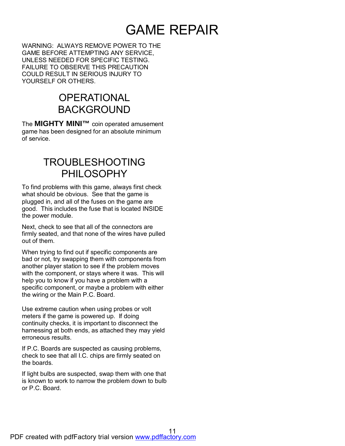## GAME REPAIR

WARNING: ALWAYS REMOVE POWER TO THE GAME BEFORE ATTEMPTING ANY SERVICE, UNLESS NEEDED FOR SPECIFIC TESTING. FAILURE TO OBSERVE THIS PRECAUTION COULD RESULT IN SERIOUS INJURY TO YOURSELF OR OTHERS.

#### **OPERATIONAL** BACKGROUND

The **MIGHTY MINI™** coin operated amusement game has been designed for an absolute minimum of service.

#### TROUBLESHOOTING PHILOSOPHY

To find problems with this game, always first check what should be obvious. See that the game is plugged in, and all of the fuses on the game are good. This includes the fuse that is located INSIDE the power module.

Next, check to see that all of the connectors are firmly seated, and that none of the wires have pulled out of them.

When trying to find out if specific components are bad or not, try swapping them with components from another player station to see if the problem moves with the component, or stays where it was. This will help you to know if you have a problem with a specific component, or maybe a problem with either the wiring or the Main P.C. Board.

Use extreme caution when using probes or volt meters if the game is powered up. If doing continuity checks, it is important to disconnect the harnessing at both ends, as attached they may yield erroneous results.

If P.C. Boards are suspected as causing problems, check to see that all I.C. chips are firmly seated on the boards.

If light bulbs are suspected, swap them with one that is known to work to narrow the problem down to bulb or P.C. Board.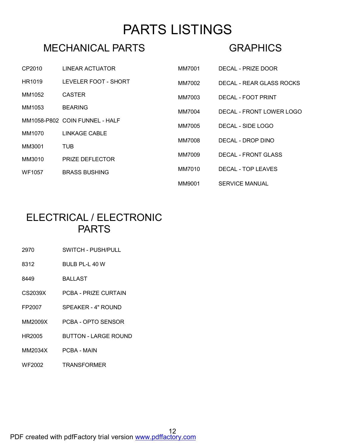## PARTS LISTINGS

#### MECHANICAL PARTS

#### **GRAPHICS**

| CP2010 | LINEAR ACTUATOR                | MM7001 | DECAL - PRIZE DOOR         |
|--------|--------------------------------|--------|----------------------------|
| HR1019 | LEVELER FOOT - SHORT           | MM7002 | DECAL - REAR GLASS ROCKS   |
| MM1052 | <b>CASTER</b>                  | MM7003 | DECAL - FOOT PRINT         |
| MM1053 | <b>BEARING</b>                 | MM7004 | DECAL - FRONT LOWER LOGO   |
|        | MM1058-P802 COIN FUNNEL - HALF | MM7005 | DECAL - SIDE LOGO          |
| MM1070 | LINKAGE CABLE                  | MM7008 | DECAL - DROP DINO          |
| MM3001 | TUB.                           |        |                            |
| MM3010 | <b>PRIZE DEFLECTOR</b>         | MM7009 | <b>DECAL - FRONT GLASS</b> |
| WF1057 | <b>BRASS BUSHING</b>           | MM7010 | DECAL - TOP LEAVES         |
|        |                                | MM9001 | <b>SERVICE MANUAL</b>      |

#### ELECTRICAL / ELECTRONIC PARTS

- 2970 SWITCH PUSH/PULL
- 8312 BULB PL-L 40 W
- 8449 BALLAST
- CS2039X PCBA PRIZE CURTAIN
- FP2007 SPEAKER 4" ROUND
- MM2009X PCBA OPTO SENSOR
- HR2005 BUTTON LARGE ROUND
- MM2034X PCBA MAIN
- WF2002 TRANSFORMER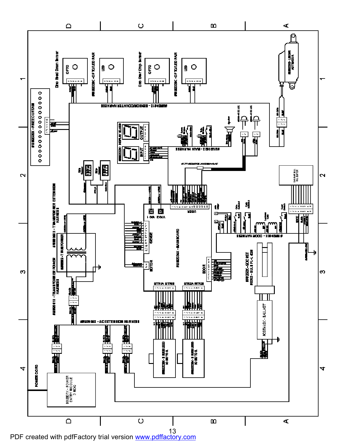

PDF created with pdfFactory trial version [www.pdffactory.com](http://www.pdffactory.com)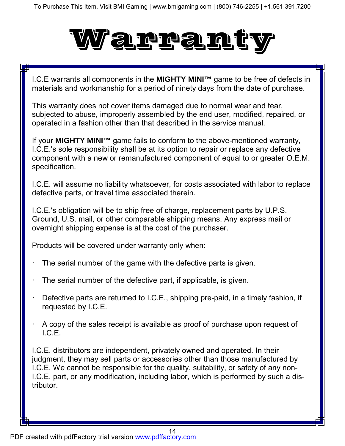# Warranty

I.C.E warrants all components in the **MIGHTY MINI™** game to be free of defects in materials and workmanship for a period of ninety days from the date of purchase.

This warranty does not cover items damaged due to normal wear and tear, subjected to abuse, improperly assembled by the end user, modified, repaired, or operated in a fashion other than that described in the service manual.

If your **MIGHTY MINI™** game fails to conform to the above-mentioned warranty, I.C.E.'s sole responsibility shall be at its option to repair or replace any defective component with a new or remanufactured component of equal to or greater O.E.M. specification.

I.C.E. will assume no liability whatsoever, for costs associated with labor to replace defective parts, or travel time associated therein.

I.C.E.'s obligation will be to ship free of charge, replacement parts by U.P.S. Ground, U.S. mail, or other comparable shipping means. Any express mail or overnight shipping expense is at the cost of the purchaser.

Products will be covered under warranty only when:

- The serial number of the game with the defective parts is given.
- The serial number of the defective part, if applicable, is given.
- Defective parts are returned to I.C.E., shipping pre-paid, in a timely fashion, if requested by I.C.E.
- · A copy of the sales receipt is available as proof of purchase upon request of I.C.E.

I.C.E. distributors are independent, privately owned and operated. In their judgment, they may sell parts or accessories other than those manufactured by I.C.E. We cannot be responsible for the quality, suitability, or safety of any non-I.C.E. part, or any modification, including labor, which is performed by such a distributor.